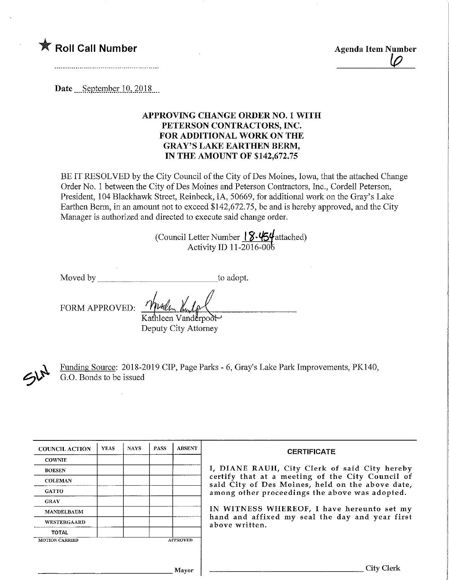# **The Roll Call Number Agencies** Agenda Item Number

Date September 10, 2018.

## APPROVING CHANGE ORDER NO. 1 WITH PETERSON CONTRACTORS, INC. FOR ADDITIONAL WORK ON THE GRAY'S LAKE EARTHEN BERM, IN THE AMOUNT OF \$142,672.75

BE IT RESOLVED by the City Council of the City of Des Moines, Iowa, that the attached Change Order No. 1 between the City of Des Moines and Peterson Contractors, Inc., Cordell Peterson, President, 104 Blackhawk Street, Reinbeck, IA, 50669, for additional work on the Gray's Lake Earthen Berm, in an amount not to exceed \$142,672.75, be and is hereby approved, and the City Manager is authorized and directed to execute said change order.

> (Council Letter Number 18.454 attached) Activity ID 11-2016-00^

Moved by to adopt.

FORM APPROVED:

leen Vanderpool-Deputy City Attorney

 $\mathcal{P}^{\mu}$ 

Funding Source: 2018-2019 CIP, Page Parks - 6, Gray's Lake Park Improvements, PK140, G.O. Bonds to be issued

| <b>COUNCIL ACTION</b> | <b>YEAS</b> | <b>NAYS</b> | <b>PASS</b> | <b>ABSENT</b>   | <b>CERTIFICATE</b>                                                                                   |
|-----------------------|-------------|-------------|-------------|-----------------|------------------------------------------------------------------------------------------------------|
| <b>COWNIE</b>         |             |             |             |                 |                                                                                                      |
| <b>BOESEN</b>         |             |             |             |                 | I, DIANE RAUH, City Clerk of said City hereby                                                        |
| <b>COLEMAN</b>        |             |             |             |                 | certify that at a meeting of the City Council of<br>said City of Des Moines, held on the above date, |
| <b>GATTO</b>          |             |             |             |                 | among other proceedings the above was adopted.                                                       |
| <b>GRAY</b>           |             |             |             |                 |                                                                                                      |
| <b>MANDELBAUM</b>     |             |             |             |                 | IN WITNESS WHEREOF, I have hereunto set my<br>hand and affixed my seal the day and year first        |
| WESTERGAARD           |             |             |             |                 | above written.                                                                                       |
| <b>TOTAL</b>          |             |             |             |                 |                                                                                                      |
| <b>MOTION CARRIED</b> |             |             |             | <b>APPROVED</b> |                                                                                                      |
|                       |             |             |             |                 |                                                                                                      |
|                       |             |             |             |                 |                                                                                                      |
|                       |             |             |             | Mavor           | City Clerl                                                                                           |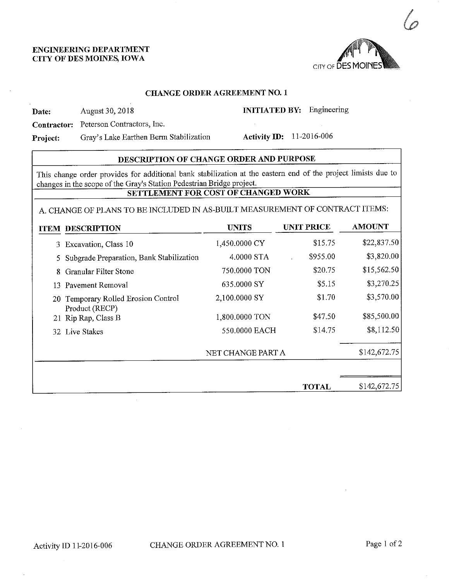## ENGmEERING DEPARTMENT CITY OF DES MOINES, IOWA



#### CHANGE ORDER AGREEMENT NO. 1

Date: August 30, 2018

INITIATED BY: Engineering

Contractor: Peterson Contractors, Inc.

Project: Gray's Lake Earthen Berm Stabilization

Activity ID: 11-2016-006

### DESCRIPTION OF CHANGE ORDER AND PURPOSE

This change order provides for additional bank stabilization at the eastern end of the project limists due to changes in the scope of the Gray's Station Pedestrian Bridge project.

## SETTLEMENT FOR COST OF CHANGED WORK

## A. CHANGE OF PLANS TO BE INCLUDED IN AS-BUILT MEASUREMENT OF CONTRACT ITEMS:

| <b>ITEM DESCRIPTION</b>                               | <b>UNITS</b>      | <b>UNIT PRICE</b> | <b>AMOUNT</b> |
|-------------------------------------------------------|-------------------|-------------------|---------------|
| 3 Excavation, Class 10                                | 1,450.0000 CY     | \$15.75           | \$22,837.50   |
| Subgrade Preparation, Bank Stabilization              | 4.0000 STA        | \$955.00          | \$3,820.00    |
| Granular Filter Stone                                 | 750,0000 TON      | \$20.75           | \$15,562.50   |
| 13 Pavement Removal                                   | 635.0000 SY       | \$5.15            | \$3,270.25    |
| 20 Temporary Rolled Erosion Control<br>Product (RECP) | 2,100.0000 SY     | \$1.70            | \$3,570.00    |
| 21 Rip Rap, Class B                                   | 1,800,0000 TON    | \$47.50           | \$85,500.00   |
| 32 Live Stakes                                        | 550,0000 EACH     | \$14.75           | \$8,112.50    |
|                                                       | NET CHANGE PART A |                   | \$142,672.75  |
|                                                       |                   |                   |               |
|                                                       |                   | <b>TOTAL</b>      | \$142,672.75  |